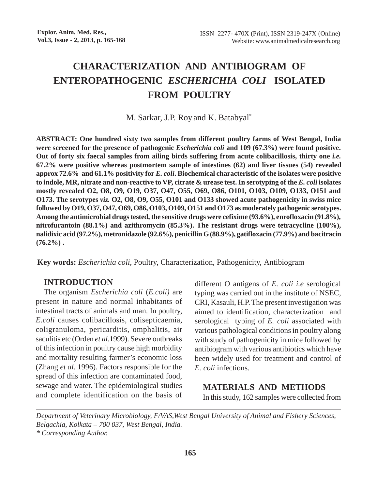# **CHARACTERIZATION AND ANTIBIOGRAM OF ENTEROPATHOGENIC** *ESCHERICHIA COLI* **ISOLATED FROM POULTRY**

M. Sarkar, J.P. Roy and K. Batabyal\*

**ABSTRACT: One hundred sixty two samples from different poultry farms of West Bengal, India were screened for the presence of pathogenic** *Escherichia coli* **and 109 (67.3%) were found positive. Out of forty six faecal samples from ailing birds suffering from acute colibacillosis, thirty one** *i.e.* **67.2% were positive whereas postmortem sample of intestines (62) and liver tissues (54) revealed approx 72.6% and 61.1% positivity for** *E. coli***. Biochemical characteristic of the isolates were positive to indole, MR, nitrate and non-reactive to VP, citrate & urease test. In serotyping of the** *E. coli* **isolates mostly revealed O2, O8, O9, O19, O37, O47, O55, O69, O86, O101, O103, O109, O133, O151 and O173. The serotypes** *viz.* **O2, O8, O9, O55, O101 and O133 showed acute pathogenicity in swiss mice followed by O19, O37, O47, O69, O86, O103, O109, O151 and O173 as moderately pathogenic serotypes. Among the antimicrobial drugs tested, the sensitive drugs were cefixime (93.6%), enrofloxacin (91.8%), nitrofurantoin (88.1%) and azithromycin (85.3%). The resistant drugs were tetracycline (100%), nalidixic acid (97.2%), metronidazole (92.6%), penicillin G (88.9%), gatifloxacin (77.9%) and bacitracin (76.2%) .**

**Key words:** *Escherichia coli*, Poultry, Characterization, Pathogenicity, Antibiogram

# **INTRODUCTION**

The organism *Escherichia coli* (*E.coli)* are present in nature and normal inhabitants of intestinal tracts of animals and man. In poultry, *E.coli* causes colibacillosis, colisepticaemia, coligranuloma, pericarditis, omphalitis, air saculitis etc (Orden *et al*.1999). Severe outbreaks of this infection in poultry cause high morbidity and mortality resulting farmer's economic loss (Zhang *et al*. 1996). Factors responsible for the spread of this infection are contaminated food, sewage and water. The epidemiological studies and complete identification on the basis of different O antigens of *E. coli i.e* serological typing was carried out in the institute of NSEC, CRI, Kasauli, H.P. The present investigation was aimed to identification, characterization and serological typing of *E. coli* associated with various pathological conditions in poultry along with study of pathogenicity in mice followed by antibiogram with various antibiotics which have been widely used for treatment and control of *E. coli* infections.

**MATERIALS AND METHODS** In this study, 162 samples were collected from

*Department of Veterinary Microbiology, F/VAS,West Bengal University of Animal and Fishery Sciences, Belgachia, Kolkata – 700 037, West Bengal, India. \* Corresponding Author.*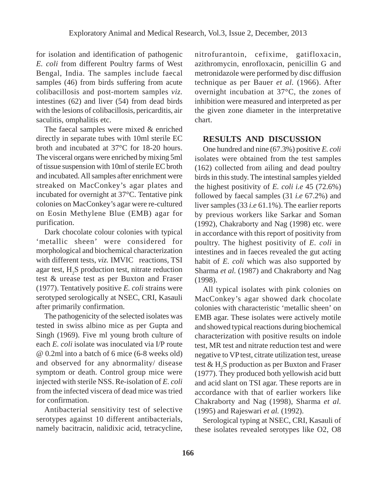for isolation and identification of pathogenic *E. coli* from different Poultry farms of West Bengal, India. The samples include faecal samples (46) from birds suffering from acute colibacillosis and post-mortem samples *viz.* intestines (62) and liver (54) from dead birds with the lesions of colibacillosis, pericarditis, air saculitis, omphalitis etc.

The faecal samples were mixed & enriched directly in separate tubes with 10ml sterile EC broth and incubated at 37°C for 18-20 hours. The visceral organs were enriched by mixing 5ml of tissue suspension with 10ml of sterile EC broth and incubated. All samples after enrichment were streaked on MacConkey's agar plates and incubated for overnight at 37°C. Tentative pink colonies on MacConkey's agar were re-cultured on Eosin Methylene Blue (EMB) agar for purification.

Dark chocolate colour colonies with typical 'metallic sheen' were considered for morphological and biochemical characterization with different tests, *viz.* IMVIC reactions, TSI agar test, H<sub>2</sub>S production test, nitrate reduction test & urease test as per Buxton and Fraser (1977). Tentatively positive *E. coli* strains were serotyped serologically at NSEC, CRI, Kasauli after primarily confirmation.

The pathogenicity of the selected isolates was tested in swiss albino mice as per Gupta and Singh (1969). Five ml young broth culture of each *E. coli* isolate was inoculated via I/P route @ 0.2ml into a batch of 6 mice (6-8 weeks old) and observed for any abnormality/ disease symptom or death. Control group mice were injected with sterile NSS. Re-isolation of *E. coli* from the infected viscera of dead mice was tried for confirmation.

Antibacterial sensitivity test of selective serotypes against 10 different antibacterials, namely bacitracin, nalidixic acid, tetracycline, nitrofurantoin, cefixime, gatifloxacin, azithromycin, enrofloxacin, penicillin G and metronidazole were performed by disc diffusion technique as per Bauer *et al.* (1966). After overnight incubation at 37°C, the zones of inhibition were measured and interpreted as per the given zone diameter in the interpretative chart.

# **RESULTS AND DISCUSSION**

One hundred and nine (67.3%) positive *E. coli* isolates were obtained from the test samples (162) collected from ailing and dead poultry birds in this study. The intestinal samples yielded the highest positivity of *E. coli i.e* 45 (72.6%) followed by faecal samples (31 *i.e* 67.2%) and liver samples (33 *i.e* 61.1%). The earlier reports by previous workers like Sarkar and Soman (1992), Chakraborty and Nag (1998) etc. were in accordance with this report of positivity from poultry. The highest positivity of *E. coli* in intestines and in faeces revealed the gut acting habit of *E. coli* which was also supported by Sharma *et al.* (1987) and Chakraborty and Nag (1998).

All typical isolates with pink colonies on MacConkey's agar showed dark chocolate colonies with characteristic 'metallic sheen' on EMB agar. These isolates were actively motile and showed typical reactions during biochemical characterization with positive results on indole test, MR test and nitrate reduction test and were negative to VP test, citrate utilization test, urease test  $\&$  H<sub>2</sub>S production as per Buxton and Fraser (1977). They produced both yellowish acid butt and acid slant on TSI agar. These reports are in accordance with that of earlier workers like Chakraborty and Nag (1998), Sharma *et al.* (1995) and Rajeswari *et al.* (1992).

Serological typing at NSEC, CRI, Kasauli of these isolates revealed serotypes like O2, O8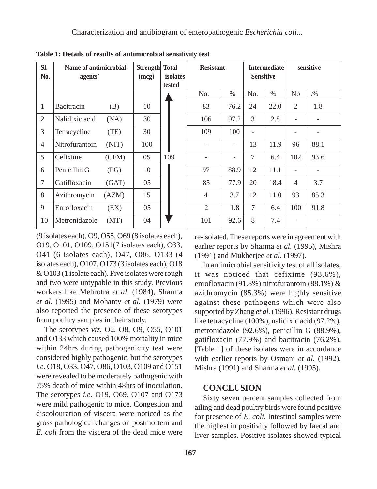| SI.<br>No.     | Name of antimicrobial<br>agents` |       | <b>Strength</b> Total<br>(mcg) | isolates<br>tested | <b>Resistant</b> |               | <b>Intermediate</b><br><b>Sensitive</b> |               | sensitive      |        |
|----------------|----------------------------------|-------|--------------------------------|--------------------|------------------|---------------|-----------------------------------------|---------------|----------------|--------|
|                |                                  |       |                                |                    | No.              | $\frac{0}{0}$ | N <sub>o</sub> .                        | $\frac{0}{0}$ | No             | $. \%$ |
| 1              | Bacitracin                       | (B)   | 10                             |                    | 83               | 76.2          | 24                                      | 22.0          | 2              | 1.8    |
| 2              | Nalidixic acid                   | (NA)  | 30                             |                    | 106              | 97.2          | 3                                       | 2.8           |                |        |
| 3              | Tetracycline                     | (TE)  | 30                             |                    | 109              | 100           |                                         |               |                |        |
| $\overline{4}$ | Nitrofurantoin                   | (NIT) | 100                            |                    |                  | -             | 13                                      | 11.9          | 96             | 88.1   |
| 5              | Cefixime                         | (CFM) | 05                             | 109                |                  |               | $\tau$                                  | 6.4           | 102            | 93.6   |
| 6              | Penicillin G                     | (PG)  | 10                             |                    | 97               | 88.9          | 12                                      | 11.1          |                |        |
| 7              | Gatifloxacin                     | (GAT) | 05                             |                    | 85               | 77.9          | 20                                      | 18.4          | $\overline{4}$ | 3.7    |
| 8              | Azithromycin                     | (AZM) | 15                             |                    | $\overline{4}$   | 3.7           | 12                                      | 11.0          | 93             | 85.3   |
| 9              | Enrofloxacin                     | (EX)  | 05                             |                    | $\mathfrak{2}$   | 1.8           | $\overline{7}$                          | 6.4           | 100            | 91.8   |
| 10             | Metronidazole                    | (MT)  | 04                             |                    | 101              | 92.6          | 8                                       | 7.4           |                |        |

**Table 1: Details of results of antimicrobial sensitivity test**

(9 isolates each), O9, O55, O69 (8 isolates each), O19, O101, O109, O151(7 isolates each), O33, O41 (6 isolates each), O47, O86, O133 (4 isolates each), O107, O173 (3 isolates each), O18 & O103 (1 isolate each). Five isolates were rough and two were untypable in this study. Previous workers like Mehrotra *et al.* (1984), Sharma *et al.* (1995) and Mohanty *et al.* (1979) were also reported the presence of these serotypes from poultry samples in their study.

The serotypes *viz.* O2, O8, O9, O55, O101 and O133 which caused 100% mortality in mice within 24hrs during pathogenicity test were considered highly pathogenic, but the serotypes *i.e.* O18, O33, O47, O86, O103, O109 and O151 were revealed to be moderately pathogenic with 75% death of mice within 48hrs of inoculation. The serotypes *i.e.* O19, O69, O107 and O173 were mild pathogenic to mice. Congestion and discolouration of viscera were noticed as the gross pathological changes on postmortem and *E. coli* from the viscera of the dead mice were

re-isolated. These reports were in agreement with earlier reports by Sharma *et al.* (1995), Mishra (1991) and Mukherjee *et al.* (1997).

In antimicrobial sensitivity test of all isolates, it was noticed that cefixime (93.6%), enrofloxacin (91.8%) nitrofurantoin (88.1%) & azithromycin (85.3%) were highly sensitive against these pathogens which were also supported by Zhang *et al.* (1996). Resistant drugs like tetracycline (100%), nalidixic acid (97.2%), metronidazole (92.6%), penicillin G (88.9%), gatifloxacin (77.9%) and bacitracin (76.2%), [Table 1] of these isolates were in accordance with earlier reports by Osmani *et al.* (1992), Mishra (1991) and Sharma *et al.* (1995).

## **CONCLUSION**

Sixty seven percent samples collected from ailing and dead poultry birds were found positive for presence of *E. coli*. Intestinal samples were the highest in positivity followed by faecal and liver samples. Positive isolates showed typical